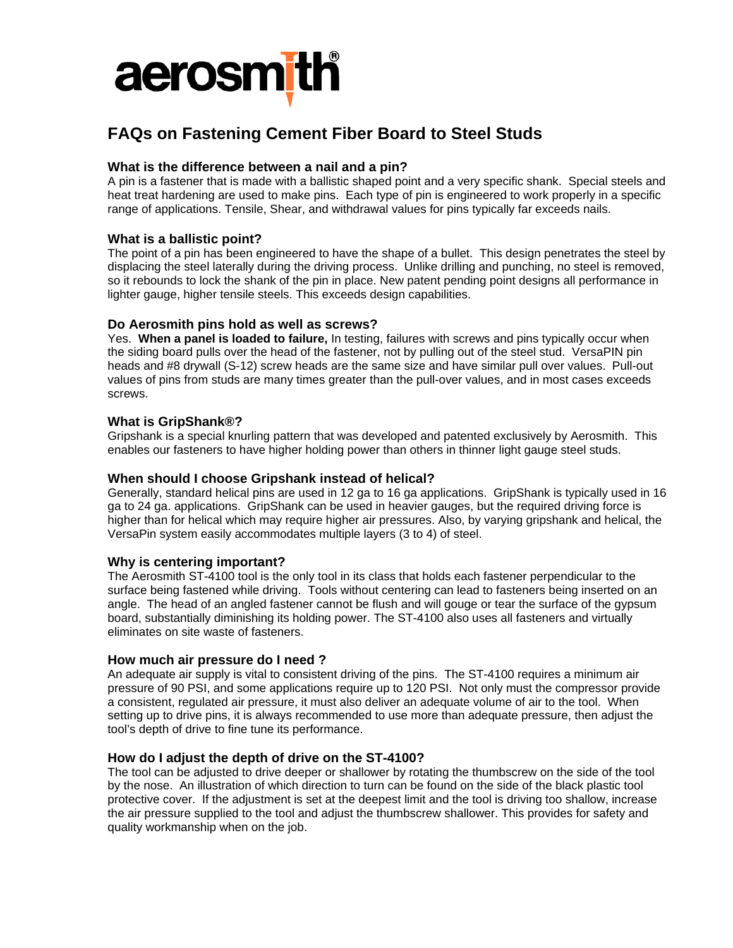

# **FAQs on Fastening Cement Fiber Board to Steel Studs**

# **What is the difference between a nail and a pin?**

A pin is a fastener that is made with a ballistic shaped point and a very specific shank. Special steels and heat treat hardening are used to make pins. Each type of pin is engineered to work properly in a specific range of applications. Tensile, Shear, and withdrawal values for pins typically far exceeds nails.

# **What is a ballistic point?**

The point of a pin has been engineered to have the shape of a bullet. This design penetrates the steel by displacing the steel laterally during the driving process. Unlike drilling and punching, no steel is removed, so it rebounds to lock the shank of the pin in place. New patent pending point designs all performance in lighter gauge, higher tensile steels. This exceeds design capabilities.

## **Do Aerosmith pins hold as well as screws?**

Yes. **When a panel is loaded to failure,** In testing, failures with screws and pins typically occur when the siding board pulls over the head of the fastener, not by pulling out of the steel stud. VersaPIN pin heads and #8 drywall (S-12) screw heads are the same size and have similar pull over values. Pull-out values of pins from studs are many times greater than the pull-over values, and in most cases exceeds screws.

## **What is GripShank®?**

Gripshank is a special knurling pattern that was developed and patented exclusively by Aerosmith. This enables our fasteners to have higher holding power than others in thinner light gauge steel studs.

### **When should I choose Gripshank instead of helical?**

Generally, standard helical pins are used in 12 ga to 16 ga applications. GripShank is typically used in 16 ga to 24 ga. applications. GripShank can be used in heavier gauges, but the required driving force is higher than for helical which may require higher air pressures. Also, by varying gripshank and helical, the VersaPin system easily accommodates multiple layers (3 to 4) of steel.

# **Why is centering important?**

The Aerosmith ST-4100 tool is the only tool in its class that holds each fastener perpendicular to the surface being fastened while driving. Tools without centering can lead to fasteners being inserted on an angle. The head of an angled fastener cannot be flush and will gouge or tear the surface of the gypsum board, substantially diminishing its holding power. The ST-4100 also uses all fasteners and virtually eliminates on site waste of fasteners.

#### **How much air pressure do I need ?**

An adequate air supply is vital to consistent driving of the pins. The ST-4100 requires a minimum air pressure of 90 PSI, and some applications require up to 120 PSI. Not only must the compressor provide a consistent, regulated air pressure, it must also deliver an adequate volume of air to the tool. When setting up to drive pins, it is always recommended to use more than adequate pressure, then adjust the tool's depth of drive to fine tune its performance.

# **How do I adjust the depth of drive on the ST-4100?**

The tool can be adjusted to drive deeper or shallower by rotating the thumbscrew on the side of the tool by the nose. An illustration of which direction to turn can be found on the side of the black plastic tool protective cover. If the adjustment is set at the deepest limit and the tool is driving too shallow, increase the air pressure supplied to the tool and adjust the thumbscrew shallower. This provides for safety and quality workmanship when on the job.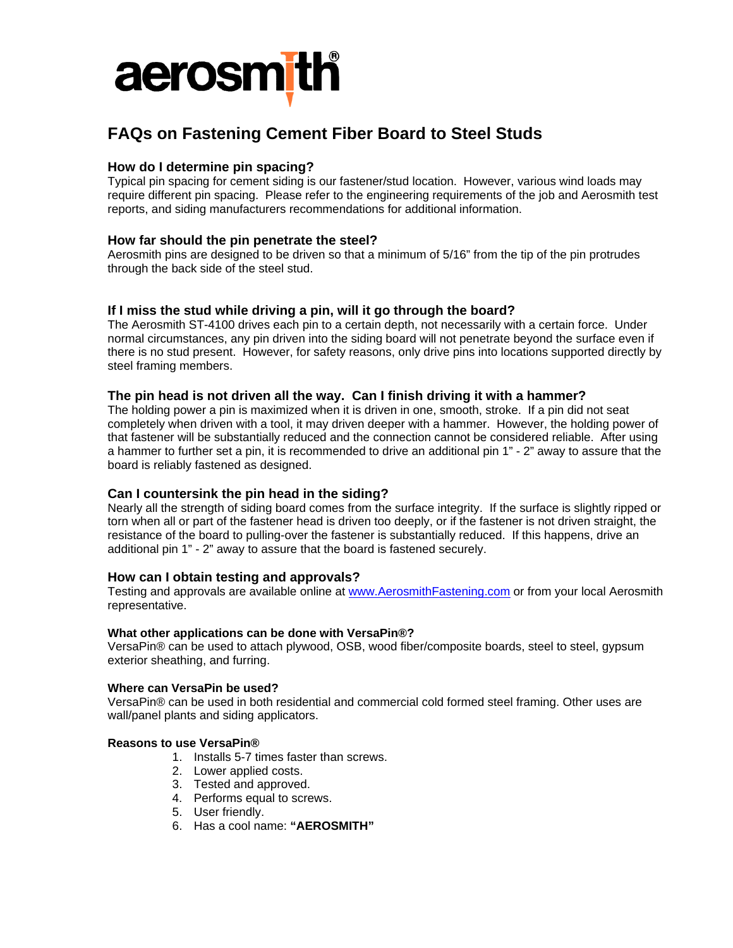

# **FAQs on Fastening Cement Fiber Board to Steel Studs**

# **How do I determine pin spacing?**

Typical pin spacing for cement siding is our fastener/stud location. However, various wind loads may require different pin spacing. Please refer to the engineering requirements of the job and Aerosmith test reports, and siding manufacturers recommendations for additional information.

# **How far should the pin penetrate the steel?**

Aerosmith pins are designed to be driven so that a minimum of 5/16" from the tip of the pin protrudes through the back side of the steel stud.

# **If I miss the stud while driving a pin, will it go through the board?**

The Aerosmith ST-4100 drives each pin to a certain depth, not necessarily with a certain force. Under normal circumstances, any pin driven into the siding board will not penetrate beyond the surface even if there is no stud present. However, for safety reasons, only drive pins into locations supported directly by steel framing members.

#### **The pin head is not driven all the way. Can I finish driving it with a hammer?**

The holding power a pin is maximized when it is driven in one, smooth, stroke. If a pin did not seat completely when driven with a tool, it may driven deeper with a hammer. However, the holding power of that fastener will be substantially reduced and the connection cannot be considered reliable. After using a hammer to further set a pin, it is recommended to drive an additional pin 1" - 2" away to assure that the board is reliably fastened as designed.

# **Can I countersink the pin head in the siding?**

Nearly all the strength of siding board comes from the surface integrity. If the surface is slightly ripped or torn when all or part of the fastener head is driven too deeply, or if the fastener is not driven straight, the resistance of the board to pulling-over the fastener is substantially reduced. If this happens, drive an additional pin 1" - 2" away to assure that the board is fastened securely.

#### **How can I obtain testing and approvals?**

Testing and approvals are available online at www.AerosmithFastening.com or from your local Aerosmith representative.

#### **What other applications can be done with VersaPin®?**

VersaPin® can be used to attach plywood, OSB, wood fiber/composite boards, steel to steel, gypsum exterior sheathing, and furring.

#### **Where can VersaPin be used?**

VersaPin® can be used in both residential and commercial cold formed steel framing. Other uses are wall/panel plants and siding applicators.

## **Reasons to use VersaPin®**

- 1. Installs 5-7 times faster than screws.
- 2. Lower applied costs.
- 3. Tested and approved.
- 4. Performs equal to screws.
- 5. User friendly.
- 6. Has a cool name: **"AEROSMITH"**